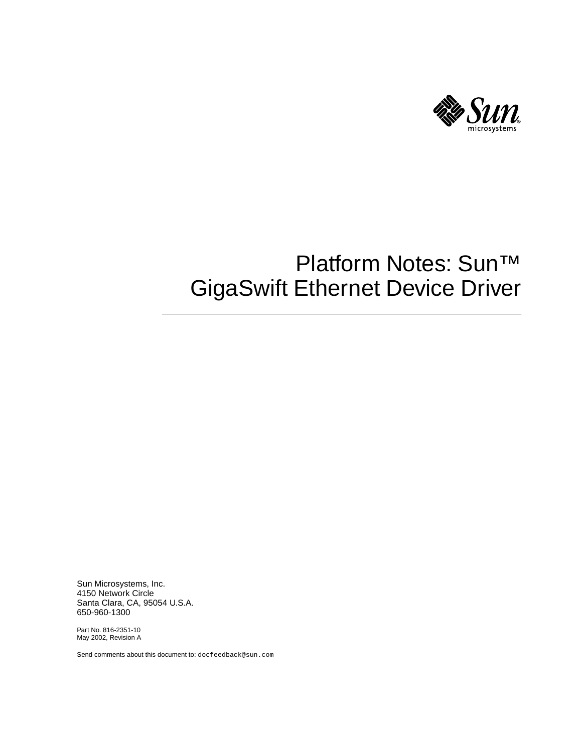

# Platform Notes: Sun™ GigaSwift Ethernet Device Driver

Sun Microsystems, Inc. 4150 Network Circle Santa Clara, CA, 95054 U.S.A. 650-960-1300

Part No. 816-2351-10 May 2002, Revision A

Send comments about this document to: docfeedback@sun.com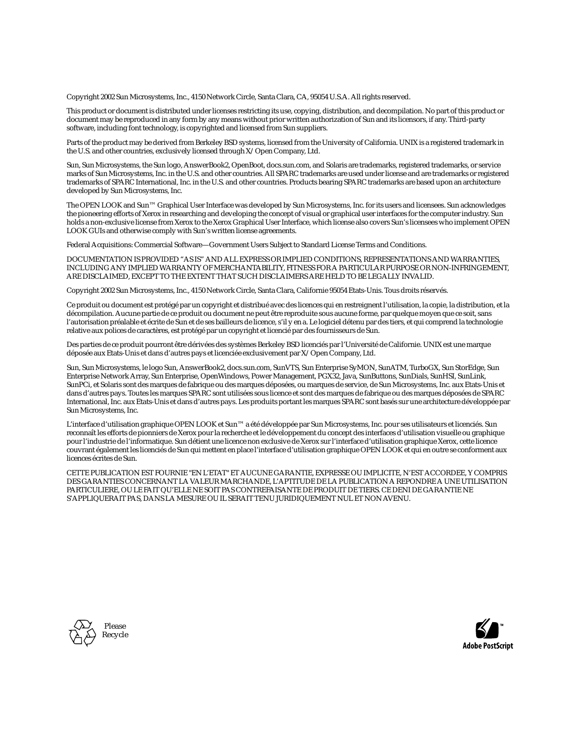Copyright 2002 Sun Microsystems, Inc., 4150 Network Circle, Santa Clara, CA, 95054 U.S.A. All rights reserved.

This product or document is distributed under licenses restricting its use, copying, distribution, and decompilation. No part of this product or document may be reproduced in any form by any means without prior written authorization of Sun and its licensors, if any. Third-party software, including font technology, is copyrighted and licensed from Sun suppliers.

Parts of the product may be derived from Berkeley BSD systems, licensed from the University of California. UNIX is a registered trademark in the U.S. and other countries, exclusively licensed through X/Open Company, Ltd.

Sun, Sun Microsystems, the Sun logo, AnswerBook2, OpenBoot, docs.sun.com, and Solaris are trademarks, registered trademarks, or service marks of Sun Microsystems, Inc. in the U.S. and other countries. All SPARC trademarks are used under license and are trademarks or registered trademarks of SPARC International, Inc. in the U.S. and other countries. Products bearing SPARC trademarks are based upon an architecture developed by Sun Microsystems, Inc.

The OPEN LOOK and Sun™ Graphical User Interface was developed by Sun Microsystems, Inc. for its users and licensees. Sun acknowledges the pioneering efforts of Xerox in researching and developing the concept of visual or graphical user interfaces for the computer industry. Sun holds a non-exclusive license from Xerox to the Xerox Graphical User Interface, which license also covers Sun's licensees who implement OPEN LOOK GUIs and otherwise comply with Sun's written license agreements.

Federal Acquisitions: Commercial Software—Government Users Subject to Standard License Terms and Conditions.

DOCUMENTATION IS PROVIDED "AS IS" AND ALL EXPRESS OR IMPLIED CONDITIONS, REPRESENTATIONS AND WARRANTIES, INCLUDING ANY IMPLIED WARRANTY OF MERCHANTABILITY, FITNESS FOR A PARTICULAR PURPOSE OR NON-INFRINGEMENT, ARE DISCLAIMED, EXCEPT TO THE EXTENT THAT SUCH DISCLAIMERS ARE HELD TO BE LEGALLY INVALID.

Copyright 2002 Sun Microsystems, Inc., 4150 Network Circle, Santa Clara, Californie 95054 Etats-Unis. Tous droits réservés.

Ce produit ou document est protégé par un copyright et distribué avec des licences qui en restreignent l'utilisation, la copie, la distribution, et la décompilation. Aucune partie de ce produit ou document ne peut être reproduite sous aucune forme, par quelque moyen que ce soit, sans l'autorisation préalable et écrite de Sun et de ses bailleurs de licence, s'il y en a. Le logiciel détenu par des tiers, et qui comprend la technologie relative aux polices de caractères, est protégé par un copyright et licencié par des fournisseurs de Sun.

Des parties de ce produit pourront être dérivées des systèmes Berkeley BSD licenciés par l'Université de Californie. UNIX est une marque déposée aux Etats-Unis et dans d'autres pays et licenciée exclusivement par X/Open Company, Ltd.

Sun, Sun Microsystems, le logo Sun, AnswerBook2, docs.sun.com, SunVTS, Sun Enterprise SyMON, SunATM, TurboGX, Sun StorEdge, Sun Enterprise Network Array, Sun Enterprise, OpenWindows, Power Management, PGX32, Java, SunButtons, SunDials, SunHSI, SunLink, SunPCi, et Solaris sont des marques de fabrique ou des marques déposées, ou marques de service, de Sun Microsystems, Inc. aux Etats-Unis et dans d'autres pays. Toutes les marques SPARC sont utilisées sous licence et sont des marques de fabrique ou des marques déposées de SPARC International, Inc. aux Etats-Unis et dans d'autres pays. Les produits portant les marques SPARC sont basés sur une architecture développée par Sun Microsystems, Inc.

L'interface d'utilisation graphique OPEN LOOK et Sun™ a été développée par Sun Microsystems, Inc. pour ses utilisateurs et licenciés. Sun reconnaît les efforts de pionniers de Xerox pour la recherche et le développement du concept des interfaces d'utilisation visuelle ou graphique pour l'industrie de l'informatique. Sun détient une licence non exclusive de Xerox sur l'interface d'utilisation graphique Xerox, cette licence couvrant également les licenciés de Sun qui mettent en place l'interface d'utilisation graphique OPEN LOOK et qui en outre se conforment aux licences écrites de Sun.

CETTE PUBLICATION EST FOURNIE "EN L'ETAT" ET AUCUNE GARANTIE, EXPRESSE OU IMPLICITE, N'EST ACCORDEE, Y COMPRIS DES GARANTIES CONCERNANT LA VALEUR MARCHANDE, L'APTITUDE DE LA PUBLICATION A REPONDRE A UNE UTILISATION PARTICULIERE, OU LE FAIT QU'ELLE NE SOIT PAS CONTREFAISANTE DE PRODUIT DE TIERS. CE DENI DE GARANTIE NE S'APPLIQUERAIT PAS, DANS LA MESURE OU IL SERAIT TENU JURIDIQUEMENT NUL ET NON AVENU.



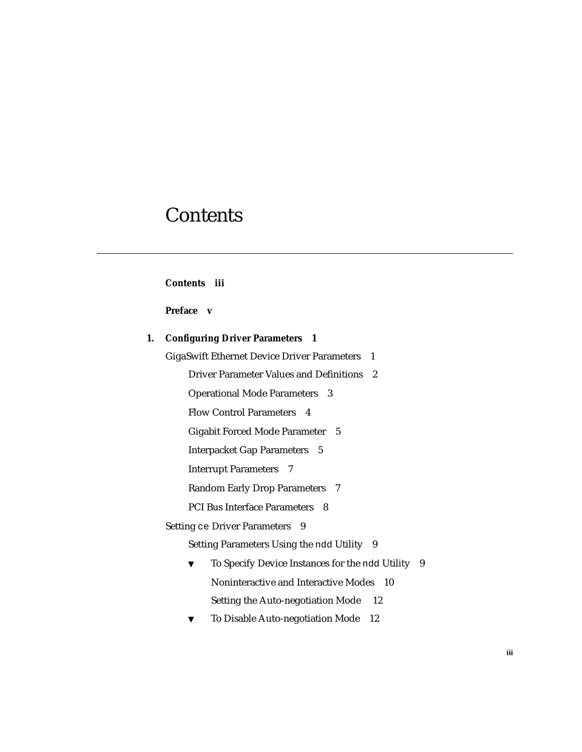## <span id="page-2-0"></span>**Contents**

**[Contents](#page-2-0) iii**

**[Preface](#page-4-0) v**

**1. [Configuring Driver Parameters](#page-8-0) 1** [GigaSwift Ethernet Device Driver Parameters 1](#page-8-1) [Driver Parameter Values and Definitions 2](#page-9-0) [Operational Mode Parameters](#page-10-0) 3 [Flow Control Parameters](#page-11-0) 4 [Gigabit Forced Mode Parameter 5](#page-12-0) [Interpacket Gap Parameters](#page-12-1) 5 [Interrupt Parameters 7](#page-14-0) [Random Early Drop Parameters 7](#page-14-1) [PCI Bus Interface Parameters 8](#page-15-0) [Setting](#page-16-0) ce Driver Parameters 9 [Setting Parameters Using the](#page-16-1) ndd Utility 9 ▼ [To Specify Device Instances for the](#page-16-2) ndd Utility 9 [Noninteractive and Interactive Modes 1](#page-17-0)0 [Setting the Auto-negotiation Mode](#page-19-0) 12 ▼ [To Disable Auto-negotiation Mode 1](#page-19-1)2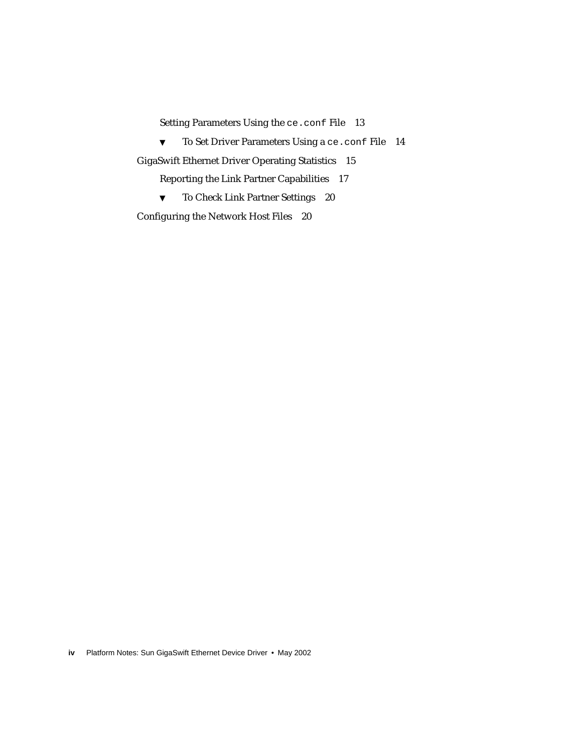[Setting Parameters Using the](#page-20-0) ce.conf File 13

▼ [To Set Driver Parameters Using a](#page-21-0) ce.conf File 14

[GigaSwift Ethernet Driver Operating Statistics 1](#page-22-0)5

[Reporting the Link Partner Capabilities](#page-24-0) 17

▼ [To Check Link Partner Settings 2](#page-27-0)0

[Configuring the Network Host Files](#page-27-1) 20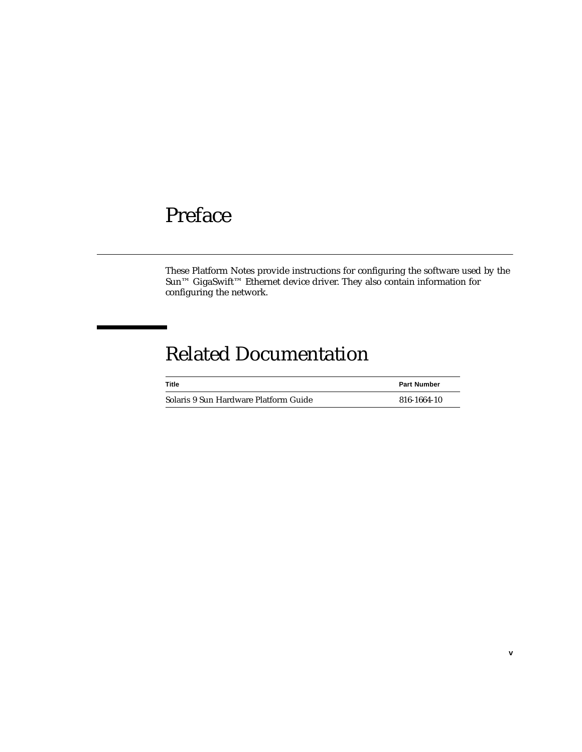## <span id="page-4-0"></span>Preface

These Platform Notes provide instructions for configuring the software used by the Sun™ GigaSwift™ Ethernet device driver. They also contain information for configuring the network.

# Related Documentation

| Title                                 | <b>Part Number</b> |
|---------------------------------------|--------------------|
| Solaris 9 Sun Hardware Platform Guide | 816-1664-10        |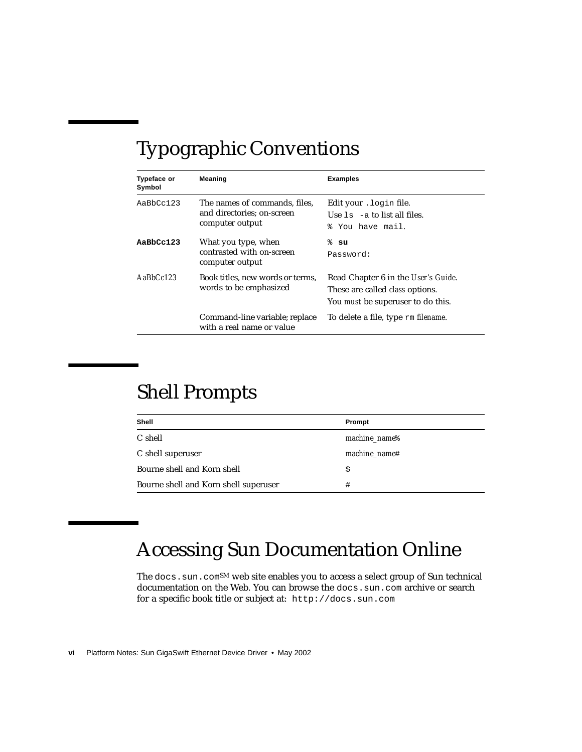# Typographic Conventions

| <b>Typeface or</b><br>Symbol | Meaning                                                                        | <b>Examples</b>                                                                                                           |  |
|------------------------------|--------------------------------------------------------------------------------|---------------------------------------------------------------------------------------------------------------------------|--|
| AaBbCc123                    | The names of commands, files,<br>and directories; on-screen<br>computer output | Edit your . login file.<br>Use $1s$ -a to list all files.<br>You have mail.<br>⊱                                          |  |
| AaBbCc123                    | What you type, when<br>contrasted with on-screen<br>computer output            | ៖ su<br>Password:                                                                                                         |  |
| $A$ a $BbCc123$              | Book titles, new words or terms,<br>words to be emphasized                     | Read Chapter 6 in the User's Guide.<br>These are called <i>class</i> options.<br>You <i>must</i> be superuser to do this. |  |
|                              | Command-line variable; replace<br>with a real name or value                    | To delete a file, type rm filename.                                                                                       |  |

# Shell Prompts

| Shell                                 | Prompt                    |
|---------------------------------------|---------------------------|
| C shell                               | machine name <sup>§</sup> |
| C shell superuser                     | machine name#             |
| Bourne shell and Korn shell           | \$                        |
| Bourne shell and Korn shell superuser | #                         |

# Accessing Sun Documentation Online

The docs.sun.comSM web site enables you to access a select group of Sun technical documentation on the Web. You can browse the docs.sun.com archive or search for a specific book title or subject at: http://docs.sun.com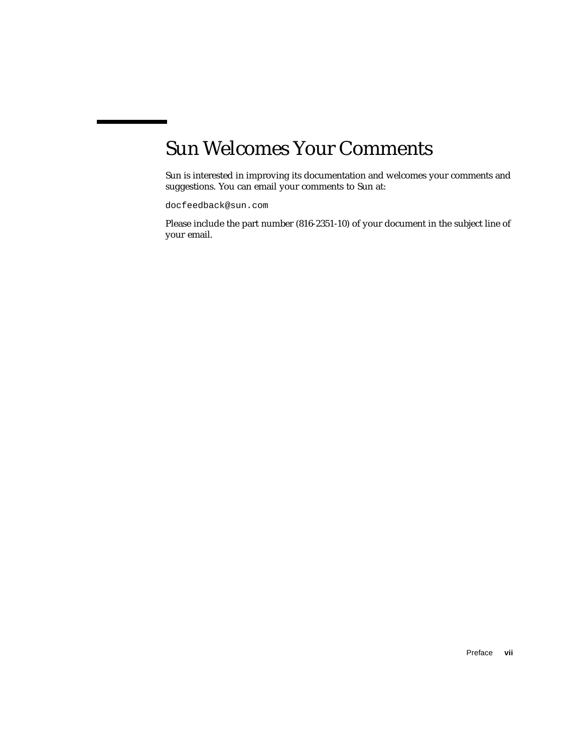# Sun Welcomes Your Comments

Sun is interested in improving its documentation and welcomes your comments and suggestions. You can email your comments to Sun at:

docfeedback@sun.com

Please include the part number (816-2351-10) of your document in the subject line of your email.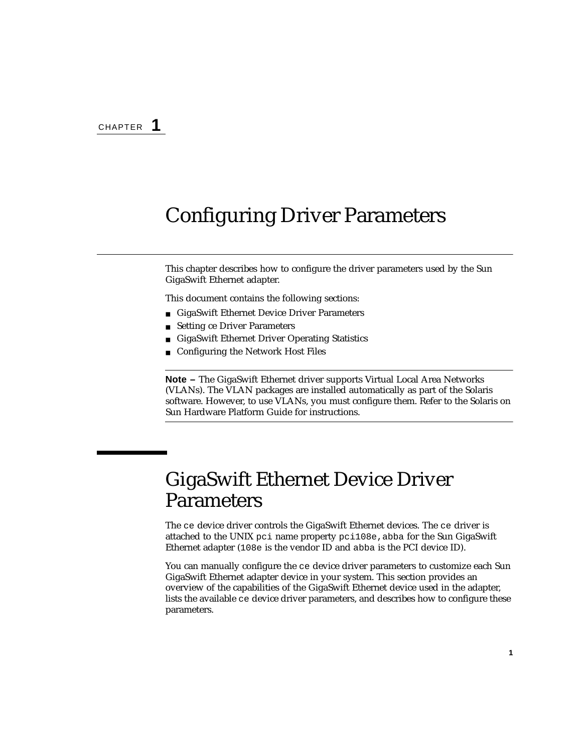# <span id="page-8-0"></span>Configuring Driver Parameters

This chapter describes how to configure the driver parameters used by the Sun GigaSwift Ethernet adapter.

This document contains the following sections:

- [GigaSwift Ethernet Device Driver Parameters](#page-8-1)
- [Setting ce Driver Parameters](#page-16-0)
- [GigaSwift Ethernet Driver Operating Statistics](#page-22-0)
- [Configuring the Network Host Files](#page-27-1)

**Note –** The GigaSwift Ethernet driver supports Virtual Local Area Networks (VLANs). The VLAN packages are installed automatically as part of the Solaris software. However, to use VLANs, you must configure them. Refer to the Solaris on Sun Hardware Platform Guide for instructions.

## <span id="page-8-1"></span>GigaSwift Ethernet Device Driver Parameters

The ce device driver controls the GigaSwift Ethernet devices. The ce driver is attached to the UNIX pci name property pci108e,abba for the Sun GigaSwift Ethernet adapter (108e is the vendor ID and abba is the PCI device ID).

You can manually configure the ce device driver parameters to customize each Sun GigaSwift Ethernet adapter device in your system. This section provides an overview of the capabilities of the GigaSwift Ethernet device used in the adapter, lists the available ce device driver parameters, and describes how to configure these parameters.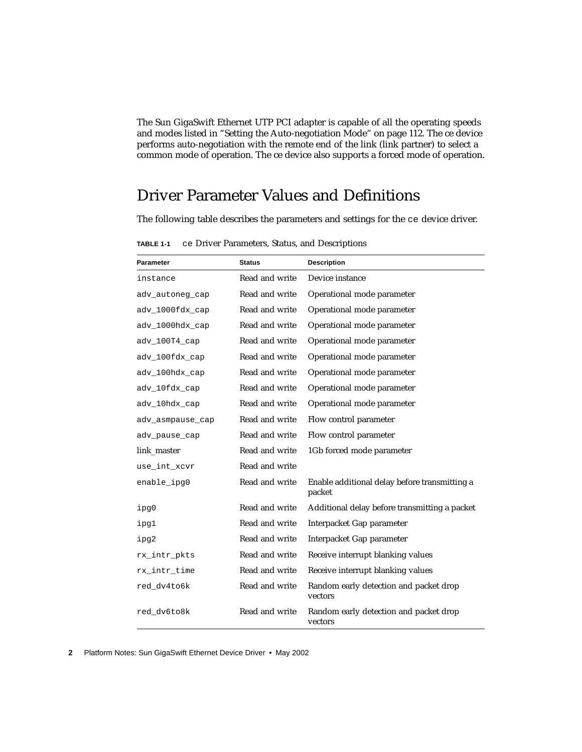The Sun GigaSwift Ethernet UTP PCI adapter is capable of all the operating speeds and modes listed in ["Setting the Auto-negotiation Mode" on page 112](#page-19-0). The ce device performs auto-negotiation with the remote end of the link (link partner) to select a common mode of operation. The ce device also supports a forced mode of operation.

#### <span id="page-9-0"></span>Driver Parameter Values and Definitions

The following table describes the parameters and settings for the ce device driver.

| Parameter        | <b>Status</b>  | <b>Description</b>                                      |  |
|------------------|----------------|---------------------------------------------------------|--|
| instance         | Read and write | Device instance                                         |  |
| adv_autoneg_cap  | Read and write | Operational mode parameter                              |  |
| adv_1000fdx_cap  | Read and write | Operational mode parameter                              |  |
| adv_1000hdx_cap  | Read and write | Operational mode parameter                              |  |
| adv_100T4_cap    | Read and write | Operational mode parameter                              |  |
| adv_100fdx_cap   | Read and write | Operational mode parameter                              |  |
| adv_100hdx_cap   | Read and write | Operational mode parameter                              |  |
| adv_10fdx_cap    | Read and write | Operational mode parameter                              |  |
| adv_10hdx_cap    | Read and write | Operational mode parameter                              |  |
| adv_asmpause_cap | Read and write | Flow control parameter                                  |  |
| adv_pause_cap    | Read and write | Flow control parameter                                  |  |
| link_master      | Read and write | 1Gb forced mode parameter                               |  |
| use_int_xcvr     | Read and write |                                                         |  |
| enable_ipg0      | Read and write | Enable additional delay before transmitting a<br>packet |  |
| ipg0             | Read and write | Additional delay before transmitting a packet           |  |
| ipgl             | Read and write | Interpacket Gap parameter                               |  |
| ipg2             | Read and write | Interpacket Gap parameter                               |  |
| rx_intr_pkts     | Read and write | Receive interrupt blanking values                       |  |
| rx_intr_time     | Read and write | Receive interrupt blanking values                       |  |
| red_dv4to6k      | Read and write | Random early detection and packet drop<br>vectors       |  |
| red_dv6to8k      | Read and write | Random early detection and packet drop<br>vectors       |  |

<span id="page-9-1"></span>**TABLE 1-1** ce Driver Parameters, Status, and Descriptions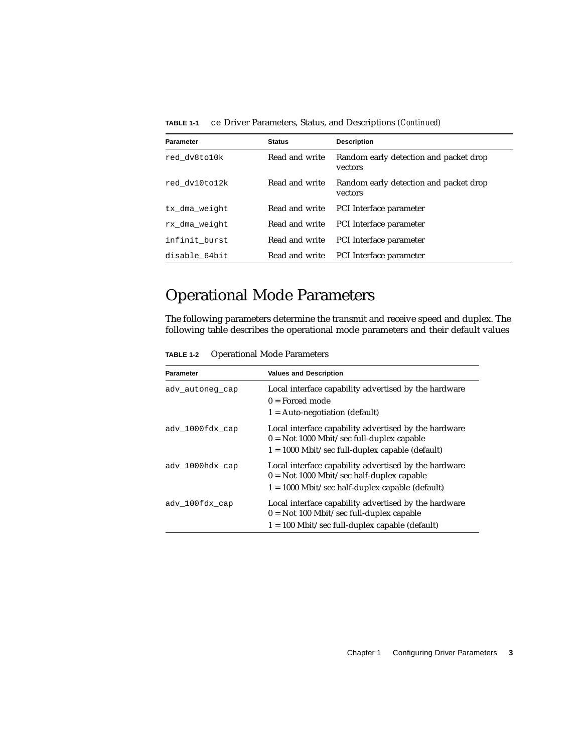| <b>Parameter</b> | <b>Status</b>  | <b>Description</b>                                |
|------------------|----------------|---------------------------------------------------|
| red dv8to10k     | Read and write | Random early detection and packet drop<br>vectors |
| red dv10to12k    | Read and write | Random early detection and packet drop<br>vectors |
| tx_dma_weight    | Read and write | PCI Interface parameter                           |
| rx dma weight    | Read and write | PCI Interface parameter                           |
| infinit_burst    | Read and write | PCI Interface parameter                           |
| disable 64bit    | Read and write | PCI Interface parameter                           |

**TABLE 1-1** ce Driver Parameters, Status, and Descriptions *(Continued)*

## <span id="page-10-0"></span>Operational Mode Parameters

The following parameters determine the transmit and receive speed and duplex. The following table describes the operational mode parameters and their default values

<span id="page-10-1"></span>**TABLE 1-2** Operational Mode Parameters

| <b>Parameter</b> | <b>Values and Description</b>                                                                                                                             |
|------------------|-----------------------------------------------------------------------------------------------------------------------------------------------------------|
| adv_autoneg_cap  | Local interface capability advertised by the hardware<br>$0 =$ Forced mode<br>$1 =$ Auto-negotiation (default)                                            |
| ady 1000fdx cap  | Local interface capability advertised by the hardware<br>$0 = Not 1000 Mbit/sec full-duplex capable$<br>$1 = 1000$ Mbit/sec full-duplex capable (default) |
| ady 1000hdx cap  | Local interface capability advertised by the hardware<br>$0 = Not 1000 Mbit/sec half-duplex capable$<br>$1 = 1000$ Mbit/sec half-duplex capable (default) |
| adv_100fdx_cap   | Local interface capability advertised by the hardware<br>$0 = Not 100$ Mbit/sec full-duplex capable<br>$1 = 100$ Mbit/sec full-duplex capable (default)   |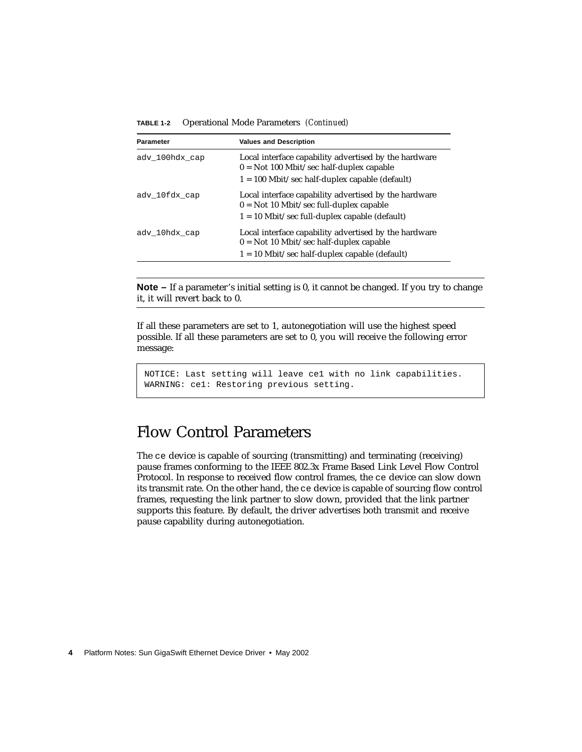| Parameter      | <b>Values and Description</b>                                                                       |  |
|----------------|-----------------------------------------------------------------------------------------------------|--|
| ady 100hdx cap | Local interface capability advertised by the hardware<br>$0 = Not 100$ Mbit/sec half-duplex capable |  |
|                | $1 = 100$ Mbit/sec half-duplex capable (default)                                                    |  |
| ady 10fdx cap  | Local interface capability advertised by the hardware<br>$0 = Not 10$ Mbit/sec full-duplex capable  |  |
|                | $1 = 10$ Mbit/sec full-duplex capable (default)                                                     |  |
| ady 10hdx cap  | Local interface capability advertised by the hardware<br>$0 = Not 10$ Mbit/sec half-duplex capable  |  |
|                | $1 = 10$ Mbit/sec half-duplex capable (default)                                                     |  |

**TABLE 1-2** Operational Mode Parameters *(Continued)*

**Note –** If a parameter's initial setting is 0, it cannot be changed. If you try to change it, it will revert back to 0.

If all these parameters are set to 1, autonegotiation will use the highest speed possible. If all these parameters are set to 0, you will receive the following error message:

```
NOTICE: Last setting will leave ce1 with no link capabilities.
WARNING: ce1: Restoring previous setting.
```
#### <span id="page-11-0"></span>Flow Control Parameters

The ce device is capable of sourcing (transmitting) and terminating (receiving) pause frames conforming to the IEEE 802.3x Frame Based Link Level Flow Control Protocol. In response to received flow control frames, the ce device can slow down its transmit rate. On the other hand, the ce device is capable of sourcing flow control frames, requesting the link partner to slow down, provided that the link partner supports this feature. By default, the driver advertises both transmit and receive pause capability during autonegotiation.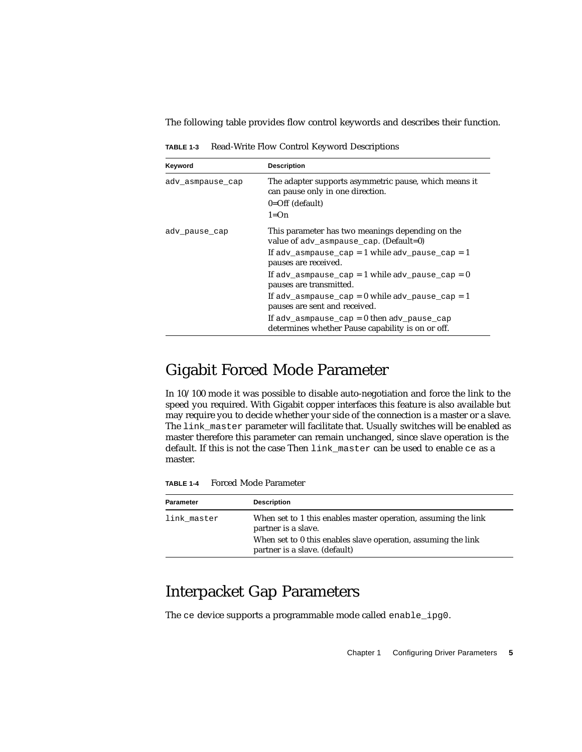The following table provides flow control keywords and describes their function.

| Keyword          | <b>Description</b>                                                                                                                  |
|------------------|-------------------------------------------------------------------------------------------------------------------------------------|
| adv_asmpause_cap | The adapter supports asymmetric pause, which means it<br>can pause only in one direction.<br>$0 = \text{Off}$ (default)<br>$1 = On$ |
| adv_pause_cap    | This parameter has two meanings depending on the<br>value of adv_asmpause_cap. (Default=0)                                          |
|                  | If adv asmpause cap = 1 while adv pause cap = 1<br>pauses are received.                                                             |
|                  | If adv_asmpause_cap = 1 while adv_pause_cap = $0$<br>pauses are transmitted.                                                        |
|                  | If adv_asmpause_cap = $0$ while adv_pause_cap = 1<br>pauses are sent and received.                                                  |
|                  | If adv_asmpause_cap = $0$ then adv_pause_cap<br>determines whether Pause capability is on or off.                                   |

**TABLE 1-3** Read-Write Flow Control Keyword Descriptions

#### <span id="page-12-0"></span>Gigabit Forced Mode Parameter

In 10/100 mode it was possible to disable auto-negotiation and force the link to the speed you required. With Gigabit copper interfaces this feature is also available but may require you to decide whether your side of the connection is a master or a slave. The link\_master parameter will facilitate that. Usually switches will be enabled as master therefore this parameter can remain unchanged, since slave operation is the default. If this is not the case Then link\_master can be used to enable ce as a master.

**TABLE 1-4** Forced Mode Parameter

| <b>Parameter</b> | <b>Description</b>                                                                             |
|------------------|------------------------------------------------------------------------------------------------|
| link master      | When set to 1 this enables master operation, assuming the link<br>partner is a slave.          |
|                  | When set to 0 this enables slave operation, assuming the link<br>partner is a slave. (default) |

### <span id="page-12-1"></span>Interpacket Gap Parameters

The ce device supports a programmable mode called enable\_ipg0.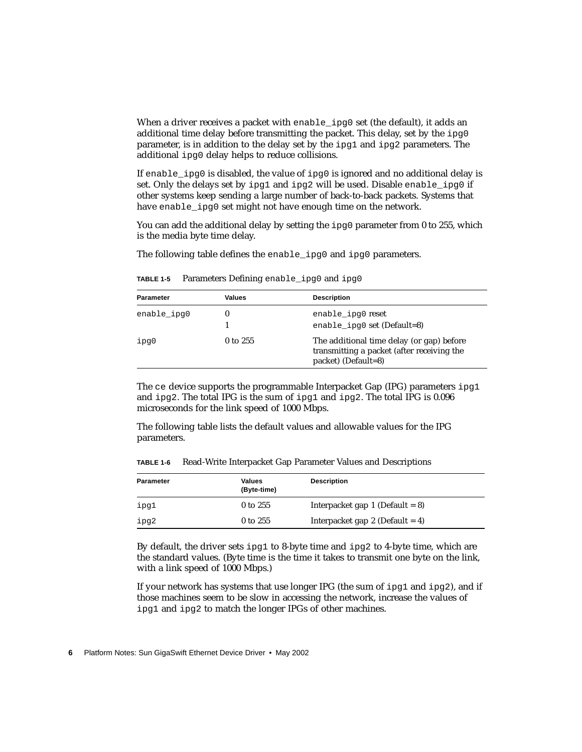When a driver receives a packet with enable\_ipg0 set (the default), it adds an additional time delay before transmitting the packet. This delay, set by the  $ipq0$ parameter, is in addition to the delay set by the ipg1 and ipg2 parameters. The additional ipg0 delay helps to reduce collisions.

If enable\_ipg0 is disabled, the value of ipg0 is ignored and no additional delay is set. Only the delays set by  $ipq1$  and  $ipq2$  will be used. Disable enable  $ipq0$  if other systems keep sending a large number of back-to-back packets. Systems that have enable ipg0 set might not have enough time on the network.

You can add the additional delay by setting the ipg0 parameter from 0 to 255, which is the media byte time delay.

The following table defines the enable ipg0 and ipg0 parameters.

| <b>Parameter</b> | Values       | <b>Description</b>                                                                                             |
|------------------|--------------|----------------------------------------------------------------------------------------------------------------|
| enable ipg0      |              | enable ipg0 reset<br>enable_ipg0 set $(Default=8)$                                                             |
| ipg0             | $0$ to $255$ | The additional time delay (or gap) before<br>transmitting a packet (after receiving the<br>packet) (Default=8) |

**TABLE 1-5** Parameters Defining enable\_ipg0 and ipg0

The ce device supports the programmable Interpacket Gap (IPG) parameters ipg1 and ipg2. The total IPG is the sum of ipg1 and ipg2. The total IPG is 0.096 microseconds for the link speed of 1000 Mbps.

The following table lists the default values and allowable values for the IPG parameters.

| Values<br>Parameter<br>(Byte-time) |              | <b>Description</b>                 |  |
|------------------------------------|--------------|------------------------------------|--|
| ipg1                               | 0 to 255     | Interpacket gap 1 (Default $= 8$ ) |  |
| ipg2                               | $0$ to $255$ | Interpacket gap 2 (Default $= 4$ ) |  |

**TABLE 1-6** Read-Write Interpacket Gap Parameter Values and Descriptions

By default, the driver sets ipg1 to 8-byte time and ipg2 to 4-byte time, which are the standard values. (Byte time is the time it takes to transmit one byte on the link, with a link speed of 1000 Mbps.)

If your network has systems that use longer IPG (the sum of  $ipq1$  and  $ipq2$ ), and if those machines seem to be slow in accessing the network, increase the values of ipg1 and ipg2 to match the longer IPGs of other machines.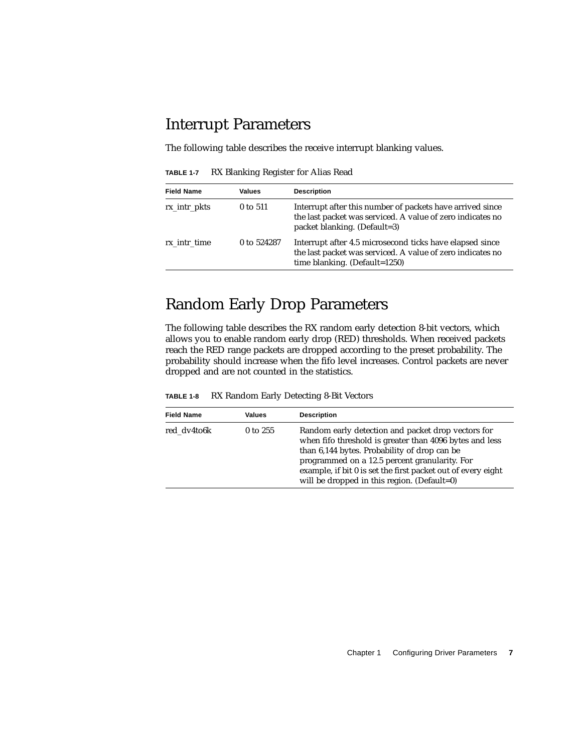#### <span id="page-14-0"></span>Interrupt Parameters

The following table describes the receive interrupt blanking values.

| <b>Field Name</b> | Values      | <b>Description</b>                                                                                                                                      |
|-------------------|-------------|---------------------------------------------------------------------------------------------------------------------------------------------------------|
| rx_intr_pkts      | $0$ to 511  | Interrupt after this number of packets have arrived since<br>the last packet was serviced. A value of zero indicates no<br>packet blanking. (Default=3) |
| rx intr time      | 0 to 524287 | Interrupt after 4.5 microsecond ticks have elapsed since<br>the last packet was serviced. A value of zero indicates no<br>time blanking. (Default=1250) |

**TABLE 1-7** RX Blanking Register for Alias Read

## <span id="page-14-1"></span>Random Early Drop Parameters

The following table describes the RX random early detection 8-bit vectors, which allows you to enable random early drop (RED) thresholds. When received packets reach the RED range packets are dropped according to the preset probability. The probability should increase when the fifo level increases. Control packets are never dropped and are not counted in the statistics.

**TABLE 1-8** RX Random Early Detecting 8-Bit Vectors

| <b>Field Name</b> | Values       | <b>Description</b>                                                                                                                                                                                                                                                                                                            |
|-------------------|--------------|-------------------------------------------------------------------------------------------------------------------------------------------------------------------------------------------------------------------------------------------------------------------------------------------------------------------------------|
| red dv4to6k       | $0$ to $255$ | Random early detection and packet drop vectors for<br>when fifo threshold is greater than 4096 bytes and less<br>than 6,144 bytes. Probability of drop can be<br>programmed on a 12.5 percent granularity. For<br>example, if bit 0 is set the first packet out of every eight<br>will be dropped in this region. (Default=0) |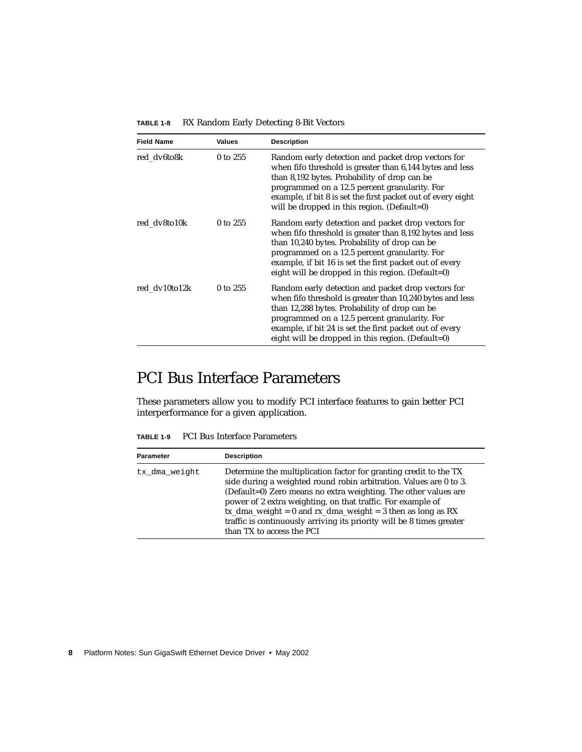| <b>Field Name</b> | <b>Values</b> | <b>Description</b>                                                                                                                                                                                                                                                                                                                |
|-------------------|---------------|-----------------------------------------------------------------------------------------------------------------------------------------------------------------------------------------------------------------------------------------------------------------------------------------------------------------------------------|
| red_dv6to8k       | 0 to 255      | Random early detection and packet drop vectors for<br>when fifo threshold is greater than 6,144 bytes and less<br>than 8,192 bytes. Probability of drop can be<br>programmed on a 12.5 percent granularity. For<br>example, if bit 8 is set the first packet out of every eight<br>will be dropped in this region. (Default=0)    |
| red dv8to10k      | $0$ to $255$  | Random early detection and packet drop vectors for<br>when fifo threshold is greater than 8,192 bytes and less<br>than 10,240 bytes. Probability of drop can be<br>programmed on a 12.5 percent granularity. For<br>example, if bit 16 is set the first packet out of every<br>eight will be dropped in this region. (Default=0)  |
| red dv10to12k     | $0$ to $255$  | Random early detection and packet drop vectors for<br>when fifo threshold is greater than 10,240 bytes and less<br>than 12,288 bytes. Probability of drop can be<br>programmed on a 12.5 percent granularity. For<br>example, if bit 24 is set the first packet out of every<br>eight will be dropped in this region. (Default=0) |

**TABLE 1-8** RX Random Early Detecting 8-Bit Vectors

#### <span id="page-15-0"></span>PCI Bus Interface Parameters

These parameters allow you to modify PCI interface features to gain better PCI interperformance for a given application.

**TABLE 1-9** PCI Bus Interface Parameters

| <b>Parameter</b> | <b>Description</b>                                                                                                                                                                                                                                                                                                                                                                                                                                    |
|------------------|-------------------------------------------------------------------------------------------------------------------------------------------------------------------------------------------------------------------------------------------------------------------------------------------------------------------------------------------------------------------------------------------------------------------------------------------------------|
| tx_dma_weight    | Determine the multiplication factor for granting credit to the TX<br>side during a weighted round robin arbitration. Values are 0 to 3.<br>(Default=0) Zero means no extra weighting. The other values are<br>power of 2 extra weighting, on that traffic. For example of<br>$tx\_dma\_weight = 0$ and $rx\_dma\_weight = 3$ then as long as RX<br>traffic is continuously arriving its priority will be 8 times greater<br>than TX to access the PCI |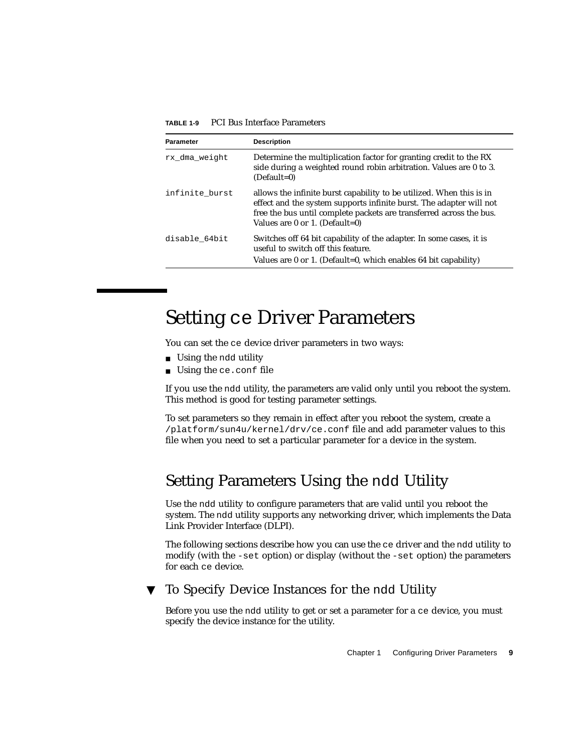| <b>PCI Bus Interface Parameters</b><br>TABLE 1-9 |  |
|--------------------------------------------------|--|
|--------------------------------------------------|--|

| <b>Parameter</b> | <b>Description</b>                                                                                                                                                                                                                                   |
|------------------|------------------------------------------------------------------------------------------------------------------------------------------------------------------------------------------------------------------------------------------------------|
| rx dma weight    | Determine the multiplication factor for granting credit to the RX<br>side during a weighted round robin arbitration. Values are 0 to 3.<br>(Default=0)                                                                                               |
| infinite burst   | allows the infinite burst capability to be utilized. When this is in<br>effect and the system supports infinite burst. The adapter will not<br>free the bus until complete packets are transferred across the bus.<br>Values are 0 or 1. (Default=0) |
| disable 64bit    | Switches off 64 bit capability of the adapter. In some cases, it is<br>useful to switch off this feature.<br>Values are 0 or 1. (Default=0, which enables $64$ bit capability)                                                                       |

## <span id="page-16-0"></span>Setting ce Driver Parameters

You can set the ce device driver parameters in two ways:

- Using the ndd utility
- Using the ce.conf file

If you use the ndd utility, the parameters are valid only until you reboot the system. This method is good for testing parameter settings.

To set parameters so they remain in effect after you reboot the system, create a /platform/sun4u/kernel/drv/ce.conf file and add parameter values to this file when you need to set a particular parameter for a device in the system.

### <span id="page-16-1"></span>Setting Parameters Using the ndd Utility

Use the ndd utility to configure parameters that are valid until you reboot the system. The ndd utility supports any networking driver, which implements the Data Link Provider Interface (DLPI).

The following sections describe how you can use the ce driver and the ndd utility to modify (with the -set option) or display (without the -set option) the parameters for each ce device.

<span id="page-16-2"></span>To Specify Device Instances for the ndd Utility

Before you use the ndd utility to get or set a parameter for a ce device, you must specify the device instance for the utility.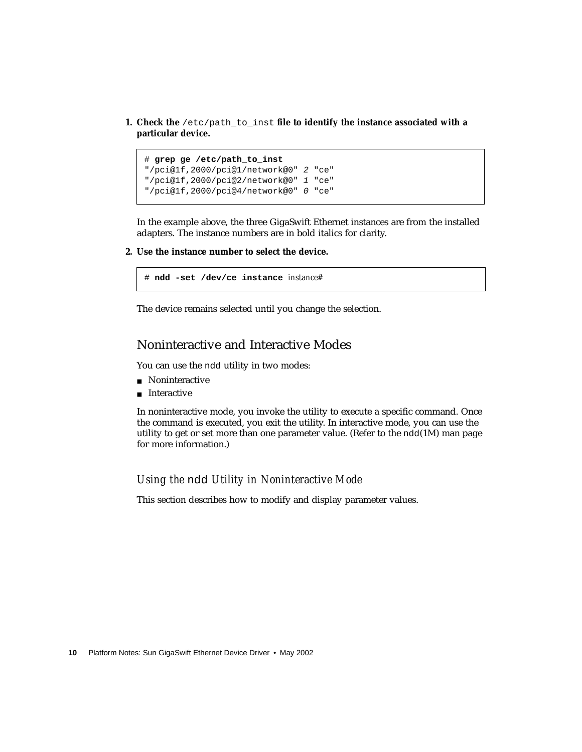**1. Check the** /etc/path\_to\_inst **file to identify the instance associated with a particular device.**

```
# grep ge /etc/path_to_inst
"/pci@1f,2000/pci@1/network@0" 2 "ce"
"/pci@1f,2000/pci@2/network@0" 1 "ce"
"/pci@1f,2000/pci@4/network@0" 0 "ce"
```
In the example above, the three GigaSwift Ethernet instances are from the installed adapters. The instance numbers are in bold italics for clarity.

**2. Use the instance number to select the device.**

```
# ndd -set /dev/ce instance instance#
```
The device remains selected until you change the selection.

#### <span id="page-17-0"></span>Noninteractive and Interactive Modes

You can use the ndd utility in two modes:

- Noninteractive
- Interactive

In noninteractive mode, you invoke the utility to execute a specific command. Once the command is executed, you exit the utility. In interactive mode, you can use the utility to get or set more than one parameter value. (Refer to the  $\text{ndd}(1\text{M})$  man page for more information.)

#### *Using the* ndd *Utility in Noninteractive Mode*

This section describes how to modify and display parameter values.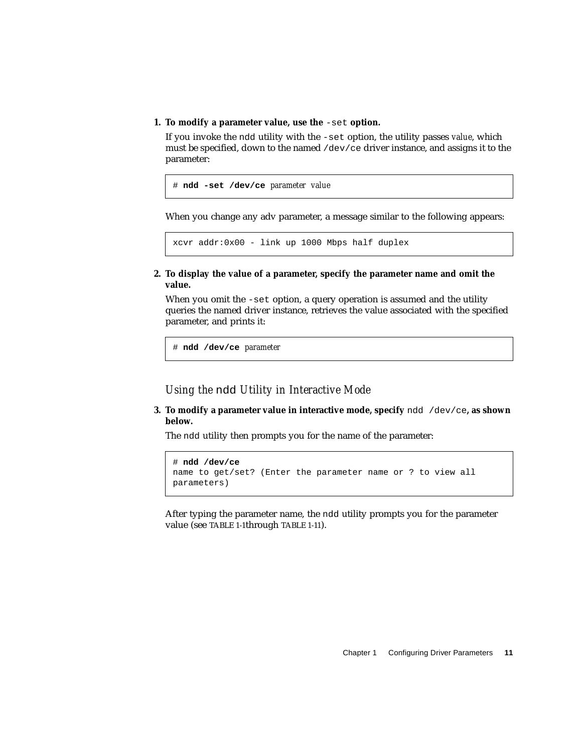**1. To modify a parameter value, use the** -set **option.**

If you invoke the ndd utility with the -set option, the utility passes *value*, which must be specified, down to the named  $/$ dev $/$ ce driver instance, and assigns it to the parameter:

```
# ndd -set /dev/ce parameter value
```
When you change any adv parameter, a message similar to the following appears:

xcvr addr:0x00 - link up 1000 Mbps half duplex

**2. To display the value of a parameter, specify the parameter name and omit the value.**

When you omit the -set option, a query operation is assumed and the utility queries the named driver instance, retrieves the value associated with the specified parameter, and prints it:

# **ndd /dev/ce** *parameter*

*Using the* ndd *Utility in Interactive Mode*

**3. To modify a parameter value in interactive mode, specify** ndd /dev/ce**, as shown below.**

The ndd utility then prompts you for the name of the parameter:

```
# ndd /dev/ce
name to get/set? (Enter the parameter name or ? to view all
parameters)
```
After typing the parameter name, the ndd utility prompts you for the parameter value (see [TABLE 1-1](#page-9-1)through [TABLE 1-11\)](#page-24-1).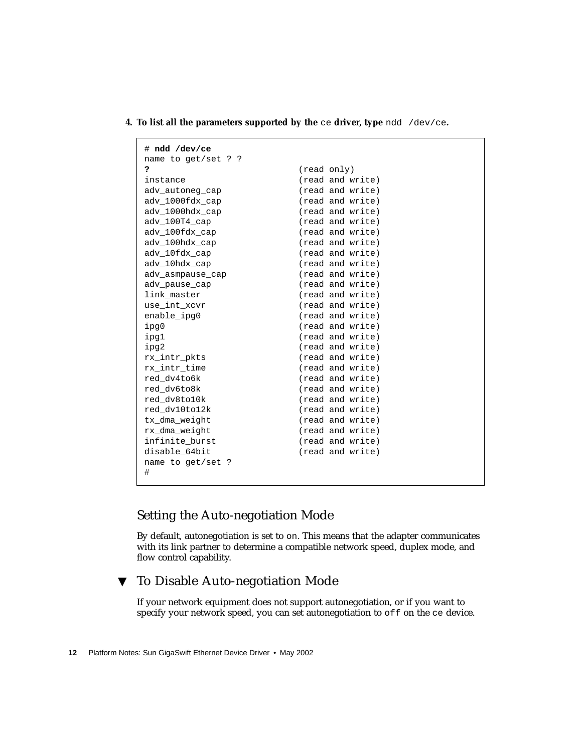| # ndd /dev/ce       |                  |
|---------------------|------------------|
| name to get/set ? ? |                  |
| ʻ5                  | (read only)      |
| instance            | (read and write) |
| adv_autoneg_cap     | (read and write) |
| adv_1000fdx_cap     | (read and write) |
| adv_1000hdx_cap     | (read and write) |
| adv 100T4 cap       | (read and write) |
| adv_100fdx_cap      | (read and write) |
| adv_100hdx_cap      | (read and write) |
| adv_10fdx_cap       | (read and write) |
| adv_10hdx_cap       | (read and write) |
| adv_asmpause_cap    | (read and write) |
| adv_pause_cap       | (read and write) |
| link master         | (read and write) |
| use int xcvr        | (read and write) |
| enable_ipq0         | (read and write) |
| ipg0                | (read and write) |
| ipg1                | (read and write) |
| ipg2                | (read and write) |
| rx_intr_pkts        | (read and write) |
| rx_intr_time        | (read and write) |
| red dv4to6k         | (read and write) |
| red dv6to8k         | (read and write) |
| red dv8to10k        | (read and write) |
| red dv10to12k       | (read and write) |
| tx dma weight       | (read and write) |
| rx dma weight       | (read and write) |
| infinite_burst      | (read and write) |
| disable_64bit       | (read and write) |
| name to get/set ?   |                  |
| #                   |                  |

**4. To list all the parameters supported by the** ce **driver, type** ndd /dev/ce**.**

#### <span id="page-19-0"></span>Setting the Auto-negotiation Mode

By default, autonegotiation is set to on. This means that the adapter communicates with its link partner to determine a compatible network speed, duplex mode, and flow control capability.

#### <span id="page-19-1"></span>▼ To Disable Auto-negotiation Mode

If your network equipment does not support autonegotiation, or if you want to specify your network speed, you can set autonegotiation to off on the ce device.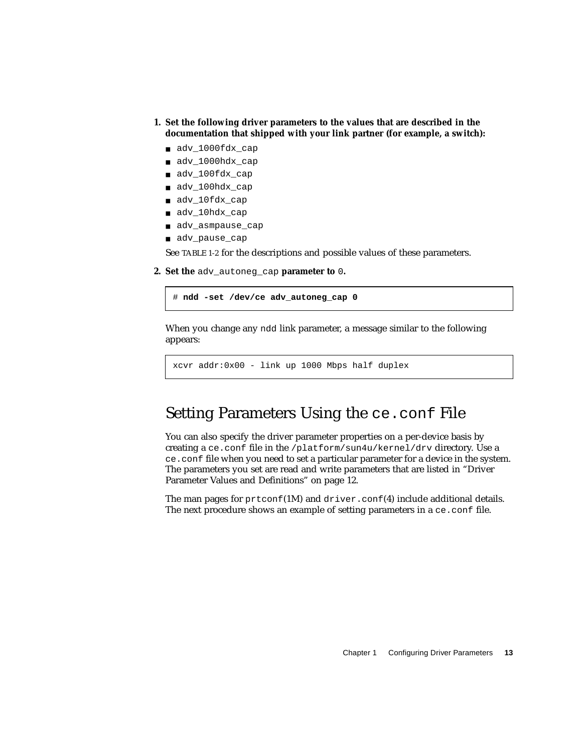- **1. Set the following driver parameters to the values that are described in the documentation that shipped with your link partner (for example, a switch):**
	- adv 1000fdx cap
	- adv\_1000hdx\_cap
	- adv\_100fdx\_cap
	- adv 100hdx cap
	- adv\_10fdx\_cap
	- adv\_10hdx\_cap
	- adv\_asmpause\_cap
	- adv pause cap

See [TABLE 1-2](#page-10-1) for the descriptions and possible values of these parameters.

**2. Set the** adv\_autoneg\_cap **parameter to** 0**.**

# **ndd -set /dev/ce adv\_autoneg\_cap 0**

When you change any ndd link parameter, a message similar to the following appears:

 $xcvr$  addr:0 $x00 - \text{link up } 1000$  Mbps half duplex

### <span id="page-20-0"></span>Setting Parameters Using the ce.conf File

You can also specify the driver parameter properties on a per-device basis by creating a ce.conf file in the /platform/sun4u/kernel/drv directory. Use a ce.conf file when you need to set a particular parameter for a device in the system. The parameters you set are read and write parameters that are listed in ["Driver](#page-9-0) [Parameter Values and Definitions" on page 12](#page-9-0).

The man pages for  $\text{prtconf}(1M)$  and  $\text{driver.comf}(4)$  include additional details. The next procedure shows an example of setting parameters in a  $ce$ , conf file.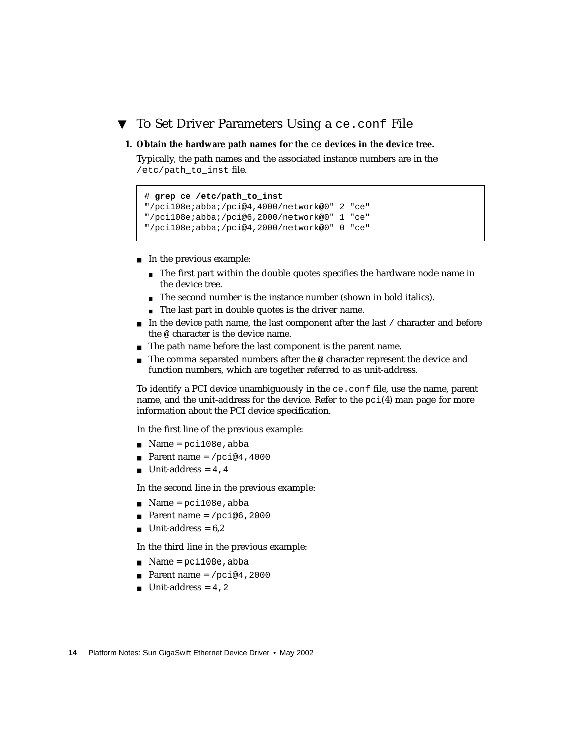#### <span id="page-21-0"></span>▼ To Set Driver Parameters Using a ce.conf File

#### **1. Obtain the hardware path names for the** ce **devices in the device tree.**

Typically, the path names and the associated instance numbers are in the /etc/path\_to\_inst file.

```
# grep ce /etc/path_to_inst
"/pci108e;abba;/pci@4,4000/network@0" 2 "ce"
"/pci108e;abba;/pci@6,2000/network@0" 1 "ce"
"/pci108e;abba;/pci@4,2000/network@0" 0 "ce"
```
- In the previous example:
	- The first part within the double quotes specifies the hardware node name in the device tree.
	- The second number is the instance number (shown in bold italics).
	- The last part in double quotes is the driver name.
- In the device path name, the last component after the last / character and before the @ character is the device name.
- The path name before the last component is the parent name.
- **•** The comma separated numbers after the  $\circledcirc$  character represent the device and function numbers, which are together referred to as unit-address.

To identify a PCI device unambiguously in the ce.conf file, use the name, parent name, and the unit-address for the device. Refer to the pci(4) man page for more information about the PCI device specification.

In the first line of the previous example:

- $\blacksquare$  Name = pci108e, abba
- Parent name =  $/pci@4.4000$
- $\blacksquare$  Unit-address = 4,4

In the second line in the previous example:

- $\blacksquare$  Name = pci108e, abba
- Parent name =  $/peci@6,2000$
- $\blacksquare$  Unit-address = 6.2

In the third line in the previous example:

- $\blacksquare$  Name = pci108e, abba
- Parent name =  $/pci@4,2000$
- $\blacksquare$  Unit-address = 4, 2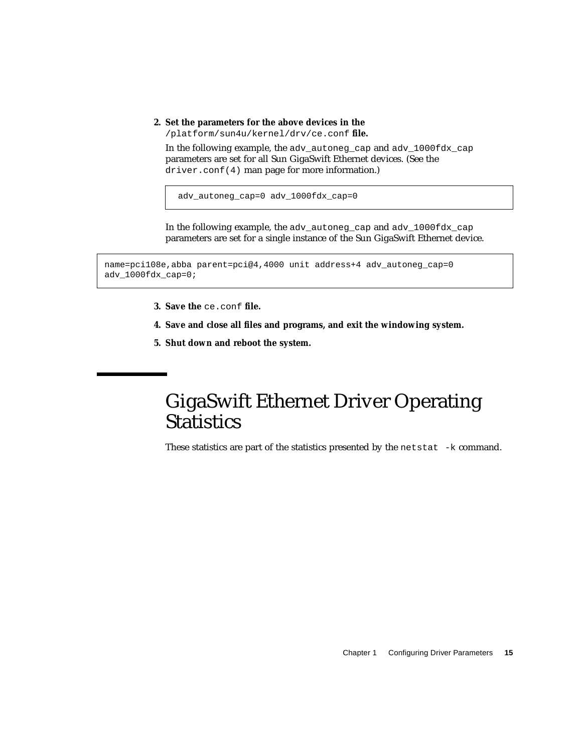**2. Set the parameters for the above devices in the**

/platform/sun4u/kernel/drv/ce.conf **file.**

In the following example, the adv\_autoneg\_cap and adv\_1000fdx\_cap parameters are set for all Sun GigaSwift Ethernet devices. (See the driver.conf(4) man page for more information.)

```
 adv_autoneg_cap=0 adv_1000fdx_cap=0
```
In the following example, the adv autoneg cap and adv  $1000fdx$  cap parameters are set for a single instance of the Sun GigaSwift Ethernet device.

```
name=pci108e,abba parent=pci@4,4000 unit address+4 adv_autoneg_cap=0
adv_1000fdx_cap=0;
```
- **3. Save the** ce.conf **file.**
- **4. Save and close all files and programs, and exit the windowing system.**
- **5. Shut down and reboot the system.**

## <span id="page-22-0"></span>GigaSwift Ethernet Driver Operating **Statistics**

These statistics are part of the statistics presented by the net state  $-k$  command.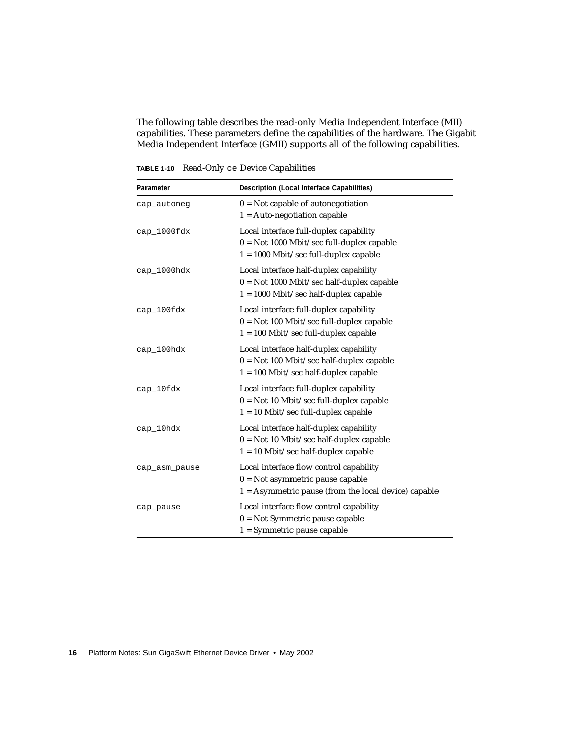The following table describes the read-only Media Independent Interface (MII) capabilities. These parameters define the capabilities of the hardware. The Gigabit Media Independent Interface (GMII) supports all of the following capabilities.

| <b>Parameter</b> | <b>Description (Local Interface Capabilities)</b>                                                                                     |
|------------------|---------------------------------------------------------------------------------------------------------------------------------------|
| cap_autoneg      | $0 =$ Not capable of autonegotiation<br>$1 = Auto-negotiation capable$                                                                |
| cap_1000fdx      | Local interface full-duplex capability<br>$0 = Not 1000 Mbit/sec full-duplex capable$<br>$1 = 1000$ Mbit/sec full-duplex capable      |
| cap_1000hdx      | Local interface half-duplex capability<br>$0 = Not 1000 Mbit/sec half-duplex capable$<br>$1 = 1000$ Mbit/sec half-duplex capable      |
| $cap_100fdx$     | Local interface full-duplex capability<br>$0 = Not 100 Mbit/sec full-duplex capable$<br>$1 = 100$ Mbit/sec full-duplex capable        |
| cap_100hdx       | Local interface half-duplex capability<br>$0 = Not 100$ Mbit/sec half-duplex capable<br>$1 = 100$ Mbit/sec half-duplex capable        |
| cap_10fdx        | Local interface full-duplex capability<br>$0 = Not 10$ Mbit/sec full-duplex capable<br>$1 = 10$ Mbit/sec full-duplex capable          |
| cap_10hdx        | Local interface half-duplex capability<br>$0 = Not 10$ Mbit/sec half-duplex capable<br>$1 = 10$ Mbit/sec half-duplex capable          |
| cap_asm_pause    | Local interface flow control capability<br>$0 = Not$ asymmetric pause capable<br>1 = Asymmetric pause (from the local device) capable |
| cap_pause        | Local interface flow control capability<br>$0 = Not Symmetric$ pause capable<br>$1 = Symmetric$ pause capable                         |

**TABLE 1-10** Read-Only ce Device Capabilities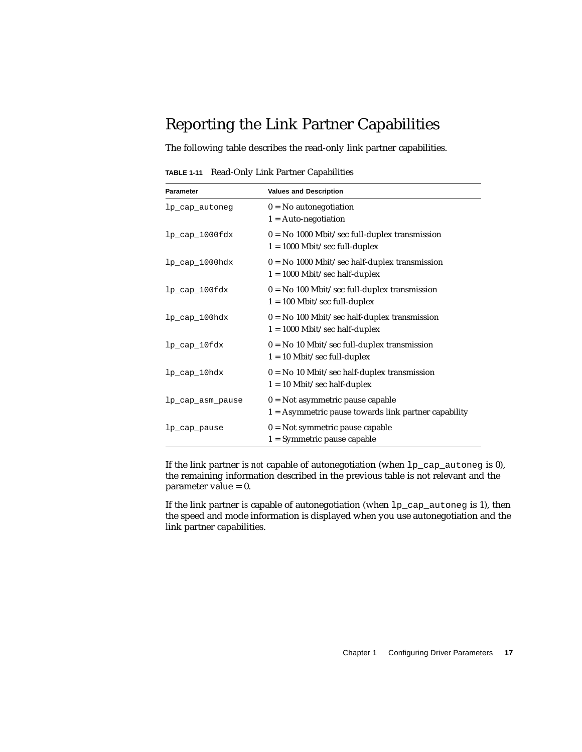### <span id="page-24-0"></span>Reporting the Link Partner Capabilities

The following table describes the read-only link partner capabilities.

<span id="page-24-1"></span>

| <b>Parameter</b>   | <b>Values and Description</b>                                                                |
|--------------------|----------------------------------------------------------------------------------------------|
| lp_cap_autoneg     | $0 = No$ autonegotiation<br>$1 = Auto-negotiation$                                           |
| $lp_{cap_1000fdx}$ | $0 =$ No 1000 Mbit/sec full-duplex transmission<br>$1 = 1000$ Mbit/sec full-duplex           |
| $lp_{cap_1000hdx}$ | $0 = No$ 1000 Mbit/sec half-duplex transmission<br>$1 = 1000$ Mbit/sec half-duplex           |
| $lp_{cap_100fdx}$  | $0 = No$ 100 Mbit/sec full-duplex transmission<br>$1 = 100$ Mbit/sec full-duplex             |
| $lp_{cap_100hdx}$  | $0 = No$ 100 Mbit/sec half-duplex transmission<br>$1 = 1000$ Mbit/sec half-duplex            |
| $lp_{cap_1}10fdx$  | $0 =$ No 10 Mbit/sec full-duplex transmission<br>$1 = 10$ Mbit/sec full-duplex               |
| lp_cap_10hdx       | $0 = No$ 10 Mbit/sec half-duplex transmission<br>$1 = 10$ Mbit/sec half-duplex               |
| lp_cap_asm_pause   | $0 = Not$ asymmetric pause capable<br>$1 =$ Asymmetric pause towards link partner capability |
| lp_cap_pause       | $0 =$ Not symmetric pause capable<br>$1 = Symmetric$ pause capable                           |

**TABLE 1-11** Read-Only Link Partner Capabilities

If the link partner is *not* capable of autonegotiation (when lp\_cap\_autoneg is 0), the remaining information described in the previous table is not relevant and the parameter value = 0.

If the link partner *is* capable of autonegotiation (when lp\_cap\_autoneg is 1), then the speed and mode information is displayed when you use autonegotiation and the link partner capabilities.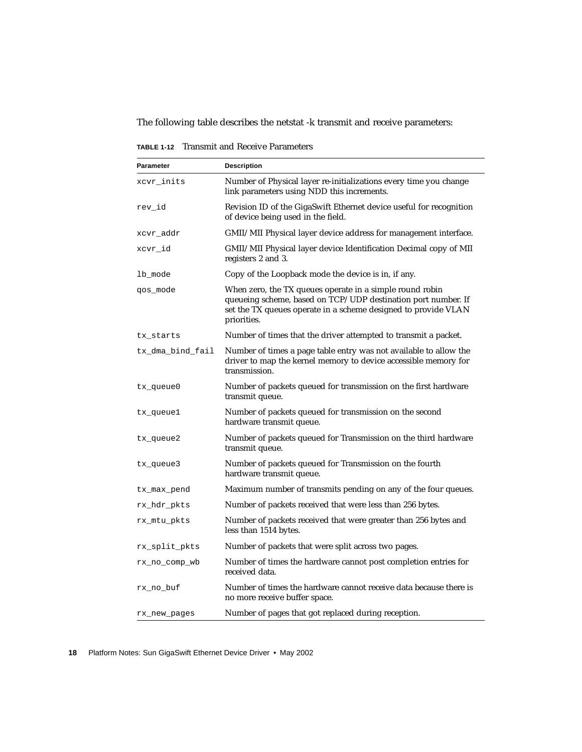The following table describes the netstat -k transmit and receive parameters:

| Parameter        | <b>Description</b>                                                                                                                                                                                         |
|------------------|------------------------------------------------------------------------------------------------------------------------------------------------------------------------------------------------------------|
| xcvr_inits       | Number of Physical layer re-initializations every time you change<br>link parameters using NDD this increments.                                                                                            |
| rev_id           | Revision ID of the GigaSwift Ethernet device useful for recognition<br>of device being used in the field.                                                                                                  |
| xcvr_addr        | GMII/MII Physical layer device address for management interface.                                                                                                                                           |
| xcvr_id          | GMII/MII Physical layer device Identification Decimal copy of MII<br>registers 2 and 3.                                                                                                                    |
| lb_mode          | Copy of the Loopback mode the device is in, if any.                                                                                                                                                        |
| qos_mode         | When zero, the TX queues operate in a simple round robin<br>queueing scheme, based on TCP/UDP destination port number. If<br>set the TX queues operate in a scheme designed to provide VLAN<br>priorities. |
| tx_starts        | Number of times that the driver attempted to transmit a packet.                                                                                                                                            |
| tx_dma_bind_fail | Number of times a page table entry was not available to allow the<br>driver to map the kernel memory to device accessible memory for<br>transmission.                                                      |
| tx_queue0        | Number of packets queued for transmission on the first hardware<br>transmit queue.                                                                                                                         |
| tx_queue1        | Number of packets queued for transmission on the second<br>hardware transmit queue.                                                                                                                        |
| tx_queue2        | Number of packets queued for Transmission on the third hardware<br>transmit queue.                                                                                                                         |
| tx_queue3        | Number of packets queued for Transmission on the fourth<br>hardware transmit queue.                                                                                                                        |
| tx_max_pend      | Maximum number of transmits pending on any of the four queues.                                                                                                                                             |
| rx_hdr_pkts      | Number of packets received that were less than 256 bytes.                                                                                                                                                  |
| rx_mtu_pkts      | Number of packets received that were greater than 256 bytes and<br>less than 1514 bytes.                                                                                                                   |
| rx_split_pkts    | Number of packets that were split across two pages.                                                                                                                                                        |
| rx no comp wb    | Number of times the hardware cannot post completion entries for<br>received data.                                                                                                                          |
| rx_no_buf        | Number of times the hardware cannot receive data because there is<br>no more receive buffer space.                                                                                                         |
| rx_new_pages     | Number of pages that got replaced during reception.                                                                                                                                                        |

**TABLE 1-12** Transmit and Receive Parameters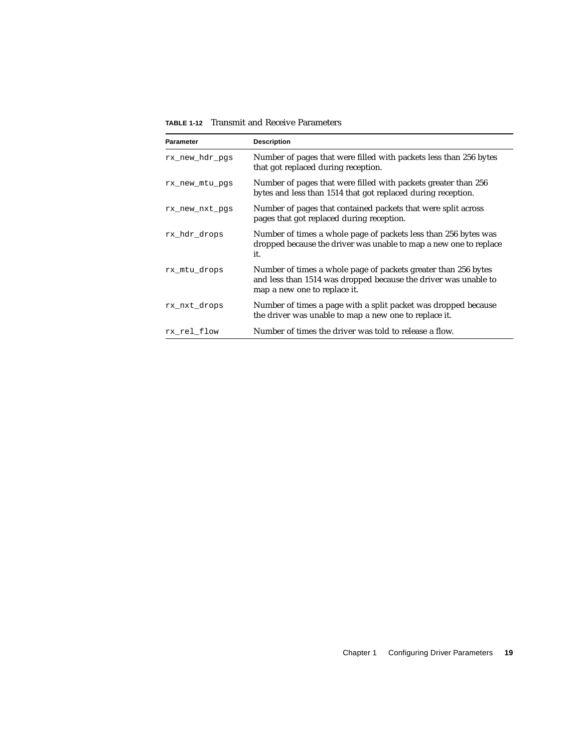| <b>Parameter</b> | <b>Description</b>                                                                                                                                                |
|------------------|-------------------------------------------------------------------------------------------------------------------------------------------------------------------|
| rx new hdr pgs   | Number of pages that were filled with packets less than 256 bytes<br>that got replaced during reception.                                                          |
| rx new mtu pgs   | Number of pages that were filled with packets greater than 256<br>bytes and less than 1514 that got replaced during reception.                                    |
| rx_new_nxt_pgs   | Number of pages that contained packets that were split across<br>pages that got replaced during reception.                                                        |
| rx hdr drops     | Number of times a whole page of packets less than 256 bytes was<br>dropped because the driver was unable to map a new one to replace<br>it.                       |
| rx mtu drops     | Number of times a whole page of packets greater than 256 bytes<br>and less than 1514 was dropped because the driver was unable to<br>map a new one to replace it. |
| rx nxt drops     | Number of times a page with a split packet was dropped because<br>the driver was unable to map a new one to replace it.                                           |
| rx rel flow      | Number of times the driver was told to release a flow.                                                                                                            |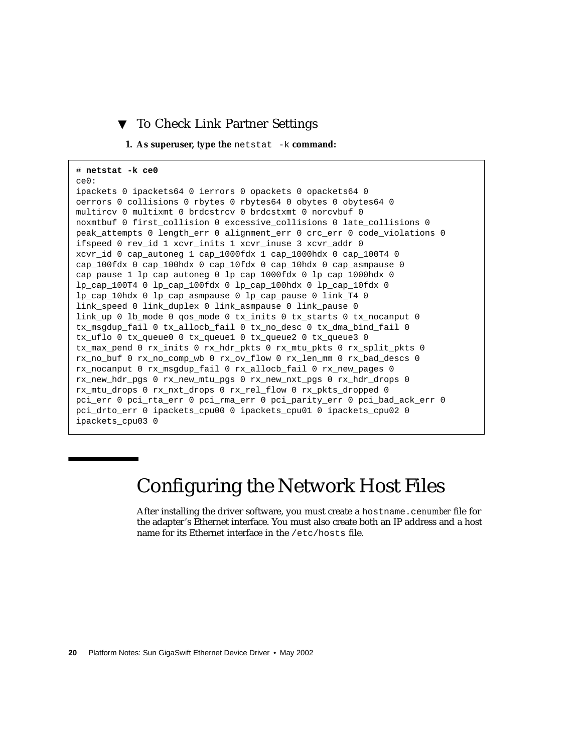▼ To Check Link Partner Settings

**1. As superuser, type the** netstat -k **command:**

#### <span id="page-27-0"></span># **netstat -k ce0**

ce0:

```
ipackets 0 ipackets64 0 ierrors 0 opackets 0 opackets64 0
oerrors 0 collisions 0 rbytes 0 rbytes64 0 obytes 0 obytes64 0
multircv 0 multixmt 0 brdcstrcv 0 brdcstxmt 0 norcvbuf 0
noxmtbuf 0 first_collision 0 excessive_collisions 0 late_collisions 0
peak attempts 0 length err 0 alignment err 0 crc err 0 code violations 0
ifspeed 0 rev_id 1 xcvr_inits 1 xcvr_inuse 3 xcvr_addr 0
xcvr_id 0 cap_autoneg 1 cap_1000fdx 1 cap_1000hdx 0 cap_100T4 0
cap_100fdx 0 cap_100hdx 0 cap_10fdx 0 cap_10hdx 0 cap_asmpause 0
cap_pause 1 lp_cap_autoneg 0 lp_cap_1000fdx 0 lp_cap_1000hdx 0
lp_cap_100T4 0 lp_cap_100fdx 0 lp_cap_100hdx 0 lp_cap_10fdx 0
lp_cap_10hdx 0 lp_cap_asmpause 0 lp_cap_pause 0 link_T4 0
link_speed 0 link_duplex 0 link_asmpause 0 link_pause 0
link_up 0 lb_mode 0 qos_mode 0 tx_inits 0 tx_starts 0 tx_nocanput 0
tx_msgdup_fail 0 tx_allocb_fail 0 tx_no_desc 0 tx_dma_bind_fail 0
tx_uflo 0 tx_queue0 0 tx_queue1 0 tx_queue2 0 tx_queue3 0
tx_max_pend 0 rx_inits 0 rx_hdr_pkts 0 rx_mtu_pkts 0 rx_split_pkts 0
rx_no_buf 0 rx_no_comp_wb 0 rx_ov_flow 0 rx_len_mm 0 rx_bad_descs 0
rx_nocanput 0 rx_msgdup_fail 0 rx_allocb_fail 0 rx_new_pages 0
rx_new_hdr_pgs 0 rx_new_mtu_pgs 0 rx_new_nxt_pgs 0 rx_hdr_drops 0
rx mtu drops 0 rx nxt drops 0 rx rel flow 0 rx pkts dropped 0
pci_err 0 pci_rta_err 0 pci_rma_err 0 pci_parity_err 0 pci_bad_ack_err 0
pci_drto_err 0 ipackets_cpu00 0 ipackets_cpu01 0 ipackets_cpu02 0
ipackets_cpu03 0
```
# <span id="page-27-1"></span>Configuring the Network Host Files

After installing the driver software, you must create a hostname.ce*number* file for the adapter's Ethernet interface. You must also create both an IP address and a host name for its Ethernet interface in the /etc/hosts file.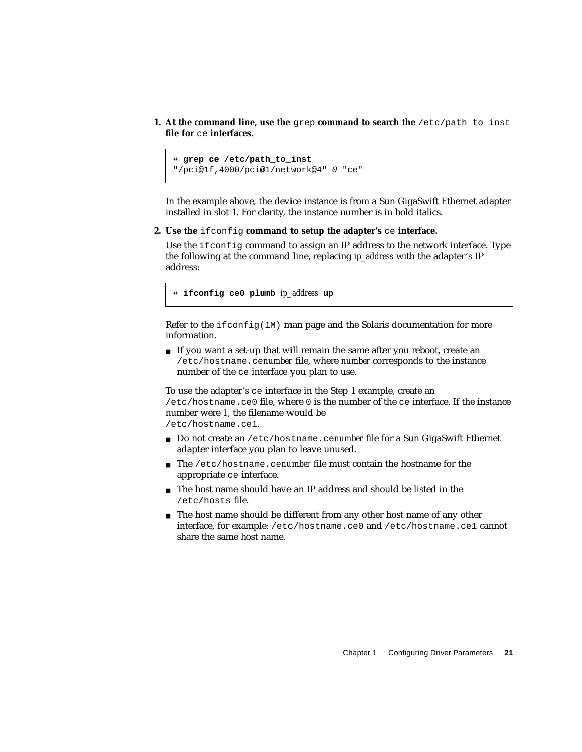**1. At the command line, use the** grep **command to search the** /etc/path\_to\_inst **file for** ce **interfaces.**

```
# grep ce /etc/path_to_inst
"/pci@1f,4000/pci@1/network@4" 0 "ce"
```
In the example above, the device instance is from a Sun GigaSwift Ethernet adapter installed in slot 1. For clarity, the instance number is in bold italics.

**2. Use the** ifconfig **command to setup the adapter's** ce **interface.**

Use the  $ifconfig$  command to assign an IP address to the network interface. Type the following at the command line, replacing *ip\_address* with the adapter's IP address:

# **ifconfig ce0 plumb** *ip\_address* **up**

Refer to the  $ifconfiq(M)$  man page and the Solaris documentation for more information.

■ If you want a set-up that will remain the same after you reboot, create an /etc/hostname.ce*number* file, where *number* corresponds to the instance number of the ce interface you plan to use.

To use the adapter's ce interface in the Step 1 example, create an /etc/hostname.ce0 file, where 0 is the number of the ce interface. If the instance number were *1*, the filename would be /etc/hostname.ce1.

- Do not create an /etc/hostname.ce*number* file for a Sun GigaSwift Ethernet adapter interface you plan to leave unused.
- The /etc/hostname.ce*number* file must contain the hostname for the appropriate ce interface.
- The host name should have an IP address and should be listed in the /etc/hosts file.
- The host name should be different from any other host name of any other interface, for example: /etc/hostname.ce0 and /etc/hostname.ce1 cannot share the same host name.